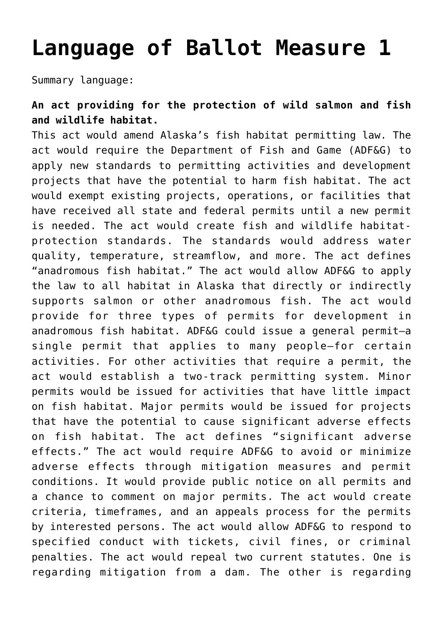## **[Language of Ballot Measure 1](https://akcommonground.org/language-of-ballot-measure-1/)**

Summary language:

## **An act providing for the protection of wild salmon and fish and wildlife habitat.**

This act would amend Alaska's fish habitat permitting law. The act would require the Department of Fish and Game (ADF&G) to apply new standards to permitting activities and development projects that have the potential to harm fish habitat. The act would exempt existing projects, operations, or facilities that have received all state and federal permits until a new permit is needed. The act would create fish and wildlife habitatprotection standards. The standards would address water quality, temperature, streamflow, and more. The act defines "anadromous fish habitat." The act would allow ADF&G to apply the law to all habitat in Alaska that directly or indirectly supports salmon or other anadromous fish. The act would provide for three types of permits for development in anadromous fish habitat. ADF&G could issue a general permit—a single permit that applies to many people—for certain activities. For other activities that require a permit, the act would establish a two-track permitting system. Minor permits would be issued for activities that have little impact on fish habitat. Major permits would be issued for projects that have the potential to cause significant adverse effects on fish habitat. The act defines "significant adverse effects." The act would require ADF&G to avoid or minimize adverse effects through mitigation measures and permit conditions. It would provide public notice on all permits and a chance to comment on major permits. The act would create criteria, timeframes, and an appeals process for the permits by interested persons. The act would allow ADF&G to respond to specified conduct with tickets, civil fines, or criminal penalties. The act would repeal two current statutes. One is regarding mitigation from a dam. The other is regarding